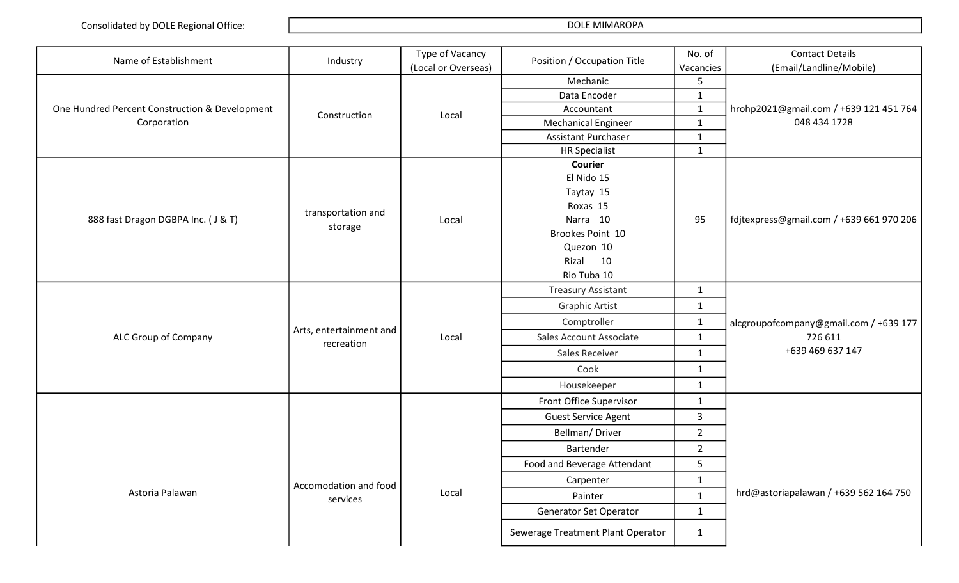| Name of Establishment                          | Industry                | Type of Vacancy     | Position / Occupation Title       | No. of         | <b>Contact Details</b>                            |
|------------------------------------------------|-------------------------|---------------------|-----------------------------------|----------------|---------------------------------------------------|
|                                                |                         | (Local or Overseas) |                                   | Vacancies      | (Email/Landline/Mobile)                           |
|                                                |                         |                     | Mechanic                          | 5              |                                                   |
|                                                |                         |                     | Data Encoder                      | $\mathbf{1}$   |                                                   |
| One Hundred Percent Construction & Development | Construction            | Local               | Accountant                        | $\mathbf{1}$   | hrohp2021@gmail.com / +639 121 451 764            |
| Corporation                                    |                         |                     | <b>Mechanical Engineer</b>        | $\mathbf{1}$   | 048 434 1728                                      |
|                                                |                         |                     | <b>Assistant Purchaser</b>        | $\mathbf{1}$   |                                                   |
|                                                |                         |                     | <b>HR Specialist</b>              | $\mathbf{1}$   |                                                   |
|                                                |                         |                     | <b>Courier</b>                    |                |                                                   |
|                                                |                         |                     | El Nido 15                        |                |                                                   |
|                                                |                         |                     | Taytay 15                         |                |                                                   |
|                                                | transportation and      |                     | Roxas 15                          |                |                                                   |
| 888 fast Dragon DGBPA Inc. (J & T)             | storage                 | Local               | Narra 10                          | 95             | fdjtexpress@gmail.com / +639 661 970 206          |
|                                                |                         |                     | Brookes Point 10                  |                |                                                   |
|                                                |                         |                     | Quezon 10                         |                |                                                   |
|                                                |                         |                     | Rizal<br>10<br>Rio Tuba 10        |                |                                                   |
|                                                |                         |                     |                                   |                |                                                   |
|                                                |                         |                     | <b>Treasury Assistant</b>         | $\mathbf{1}$   |                                                   |
|                                                |                         |                     | <b>Graphic Artist</b>             | $\mathbf{1}$   |                                                   |
|                                                | Arts, entertainment and |                     | Comptroller                       | $\mathbf{1}$   | alcgroupofcompany@gmail.com / +639 177<br>726 611 |
| ALC Group of Company                           | recreation              | Local               | Sales Account Associate           | $\mathbf{1}$   |                                                   |
|                                                |                         |                     | Sales Receiver                    | $\mathbf{1}$   | +639 469 637 147                                  |
|                                                |                         |                     | Cook                              | $\mathbf{1}$   |                                                   |
|                                                |                         |                     | Housekeeper                       | $\mathbf{1}$   |                                                   |
|                                                |                         |                     | Front Office Supervisor           | $\mathbf{1}$   |                                                   |
|                                                |                         |                     | <b>Guest Service Agent</b>        | 3              |                                                   |
|                                                |                         |                     | Bellman/Driver                    | $\overline{2}$ |                                                   |
|                                                |                         |                     | Bartender                         | $\overline{2}$ |                                                   |
|                                                |                         |                     | Food and Beverage Attendant       | 5              |                                                   |
|                                                | Accomodation and food   |                     | Carpenter                         | $\mathbf{1}$   |                                                   |
| Astoria Palawan                                | services                | Local               | Painter                           | $\mathbf{1}$   | hrd@astoriapalawan / +639 562 164 750             |
|                                                |                         |                     | Generator Set Operator            | $\mathbf{1}$   |                                                   |
|                                                |                         |                     | Sewerage Treatment Plant Operator | $\mathbf{1}$   |                                                   |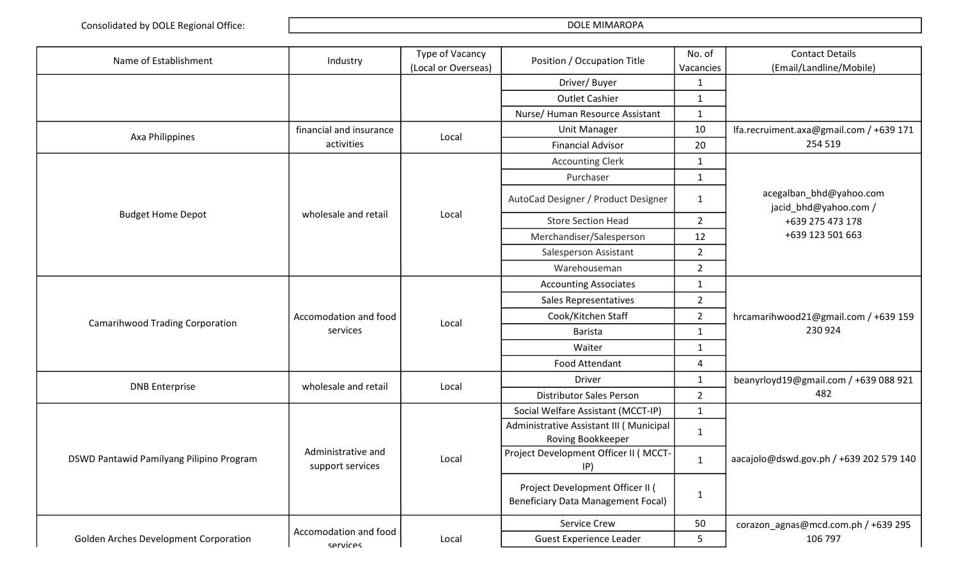| Name of Establishment                    | Industry                                 | Type of Vacancy<br>(Local or Overseas) | Position / Occupation Title                                                   | No. of<br>Vacancies | <b>Contact Details</b><br>(Email/Landline/Mobile) |
|------------------------------------------|------------------------------------------|----------------------------------------|-------------------------------------------------------------------------------|---------------------|---------------------------------------------------|
|                                          |                                          |                                        | Driver/ Buyer                                                                 | 1                   |                                                   |
|                                          |                                          |                                        | <b>Outlet Cashier</b>                                                         | 1                   |                                                   |
|                                          |                                          |                                        | Nurse/ Human Resource Assistant                                               | $\mathbf{1}$        |                                                   |
|                                          | financial and insurance                  |                                        | <b>Unit Manager</b>                                                           | 10                  | Ifa.recruiment.axa@gmail.com / +639 171           |
| Axa Philippines                          | activities                               | Local                                  | <b>Financial Advisor</b>                                                      | 20                  | 254 519                                           |
|                                          |                                          |                                        | <b>Accounting Clerk</b>                                                       | $\mathbf{1}$        |                                                   |
|                                          |                                          |                                        | Purchaser                                                                     | $\mathbf{1}$        |                                                   |
|                                          |                                          |                                        | AutoCad Designer / Product Designer                                           | 1                   | acegalban_bhd@yahoo.com<br>jacid_bhd@yahoo.com /  |
| <b>Budget Home Depot</b>                 | wholesale and retail                     | Local                                  | <b>Store Section Head</b>                                                     | $2^{\circ}$         | +639 275 473 178                                  |
|                                          |                                          |                                        | Merchandiser/Salesperson                                                      | 12                  | +639 123 501 663                                  |
|                                          |                                          |                                        | Salesperson Assistant                                                         | $\overline{2}$      |                                                   |
|                                          |                                          |                                        | Warehouseman                                                                  | $\overline{2}$      |                                                   |
|                                          |                                          |                                        | <b>Accounting Associates</b>                                                  | $\mathbf{1}$        |                                                   |
|                                          |                                          |                                        | Sales Representatives                                                         | $\overline{2}$      |                                                   |
| <b>Camarihwood Trading Corporation</b>   | Accomodation and food                    | Local                                  | Cook/Kitchen Staff                                                            | $\overline{2}$      | hrcamarihwood21@gmail.com / +639 159              |
|                                          | services                                 |                                        | <b>Barista</b>                                                                | 230 924             |                                                   |
|                                          |                                          |                                        | Waiter                                                                        | $\mathbf{1}$        |                                                   |
|                                          |                                          |                                        | Food Attendant                                                                | 4                   |                                                   |
| <b>DNB</b> Enterprise                    | wholesale and retail                     | Local                                  | <b>Driver</b>                                                                 | $\mathbf{1}$        | beanyrloyd19@gmail.com / +639 088 921             |
|                                          |                                          |                                        | <b>Distributor Sales Person</b>                                               | $\overline{2}$      | 482                                               |
|                                          |                                          |                                        | Social Welfare Assistant (MCCT-IP)                                            | $\mathbf{1}$        |                                                   |
|                                          |                                          |                                        | Administrative Assistant III (Municipal<br>Roving Bookkeeper                  | 1                   |                                                   |
| DSWD Pantawid Pamilyang Pilipino Program | Administrative and<br>support services   | Local                                  | Project Development Officer II (MCCT-<br> P)                                  | $\mathbf{1}$        | aacajolo@dswd.gov.ph / +639 202 579 140           |
|                                          |                                          |                                        | Project Development Officer II (<br><b>Beneficiary Data Management Focal)</b> | 1                   |                                                   |
|                                          |                                          |                                        | Service Crew                                                                  | 50                  | corazon_agnas@mcd.com.ph / +639 295               |
| Golden Arches Development Corporation    | Accomodation and food<br><b>CATVICAS</b> | Local                                  | <b>Guest Experience Leader</b>                                                | 5                   | 106 797                                           |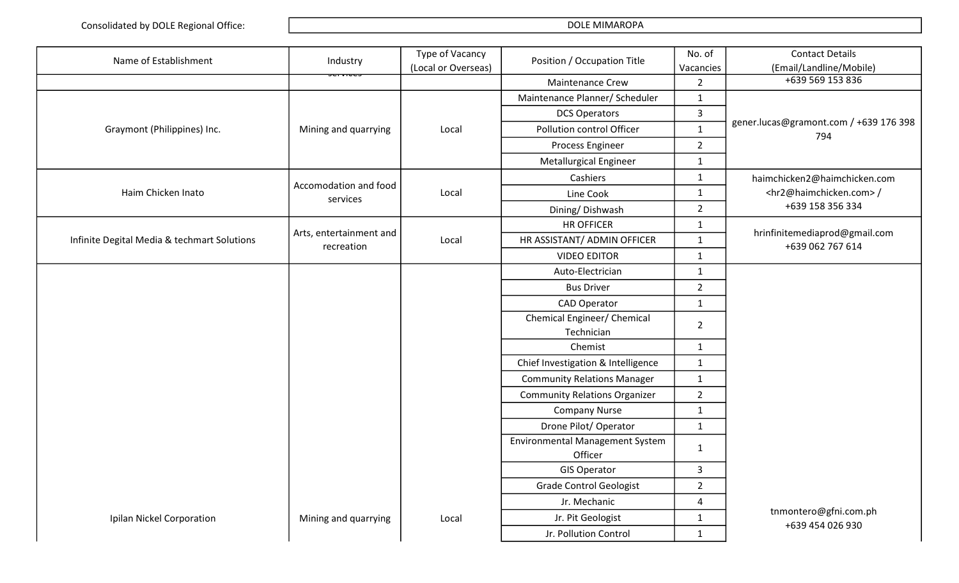| Name of Establishment                       | Industry                              | Type of Vacancy     | Position / Occupation Title            | No. of                  | <b>Contact Details</b>                            |
|---------------------------------------------|---------------------------------------|---------------------|----------------------------------------|-------------------------|---------------------------------------------------|
|                                             |                                       | (Local or Overseas) |                                        | Vacancies               | (Email/Landline/Mobile)                           |
|                                             |                                       |                     | Maintenance Crew                       | $\overline{2}$          | +639 569 153 836                                  |
|                                             |                                       |                     | Maintenance Planner/ Scheduler         | $\mathbf{1}$            |                                                   |
|                                             |                                       |                     | <b>DCS Operators</b>                   | 3                       | gener.lucas@gramont.com / +639 176 398<br>794     |
| Graymont (Philippines) Inc.                 | Mining and quarrying                  | Local               | Pollution control Officer              | $\mathbf{1}$            |                                                   |
|                                             |                                       |                     | Process Engineer                       | $\overline{2}$          |                                                   |
|                                             |                                       |                     | Metallurgical Engineer                 | $\mathbf{1}$            |                                                   |
|                                             | Accomodation and food                 |                     | Cashiers                               | $\mathbf{1}$            | haimchicken2@haimchicken.com                      |
| Haim Chicken Inato                          | services                              | Local               | Line Cook                              | $\mathbf{1}$            | <hr2@haimchicken.com>/</hr2@haimchicken.com>      |
|                                             |                                       |                     | Dining/Dishwash                        | $\overline{2}$          | +639 158 356 334                                  |
|                                             |                                       |                     | <b>HR OFFICER</b>                      | $\mathbf{1}$            |                                                   |
| Infinite Degital Media & techmart Solutions | Arts, entertainment and<br>recreation | Local               | HR ASSISTANT/ ADMIN OFFICER            | $\mathbf{1}$            | hrinfinitemediaprod@gmail.com<br>+639 062 767 614 |
|                                             |                                       |                     | <b>VIDEO EDITOR</b>                    | $\mathbf{1}$            |                                                   |
|                                             |                                       |                     | Auto-Electrician                       | $\mathbf{1}$            |                                                   |
|                                             |                                       |                     | <b>Bus Driver</b>                      | $\overline{2}$          |                                                   |
|                                             |                                       |                     | <b>CAD Operator</b>                    | $\mathbf{1}$            |                                                   |
|                                             |                                       |                     | Chemical Engineer/ Chemical            | $\overline{2}$          |                                                   |
|                                             |                                       |                     | Technician                             |                         |                                                   |
|                                             |                                       |                     | Chemist                                | $\mathbf{1}$            |                                                   |
|                                             |                                       |                     | Chief Investigation & Intelligence     | $\mathbf{1}$            |                                                   |
|                                             |                                       |                     | <b>Community Relations Manager</b>     | $\mathbf{1}$            |                                                   |
|                                             |                                       |                     | <b>Community Relations Organizer</b>   | $\overline{2}$          |                                                   |
|                                             |                                       |                     | <b>Company Nurse</b>                   | $\mathbf{1}$            |                                                   |
|                                             |                                       |                     | Drone Pilot/ Operator                  | $\mathbf{1}$            |                                                   |
|                                             |                                       |                     | <b>Environmental Management System</b> | $\mathbf{1}$            |                                                   |
|                                             |                                       |                     | Officer                                |                         |                                                   |
|                                             |                                       |                     | <b>GIS Operator</b>                    | 3                       |                                                   |
|                                             |                                       |                     | <b>Grade Control Geologist</b>         | $\overline{2}$          |                                                   |
|                                             |                                       |                     | Jr. Mechanic                           | $\overline{\mathbf{4}}$ | tnmontero@gfni.com.ph                             |
| Ipilan Nickel Corporation                   | Mining and quarrying                  | Local               | Jr. Pit Geologist                      | $\mathbf{1}$            | +639 454 026 930                                  |
|                                             |                                       |                     | Jr. Pollution Control                  | $\mathbf{1}$            |                                                   |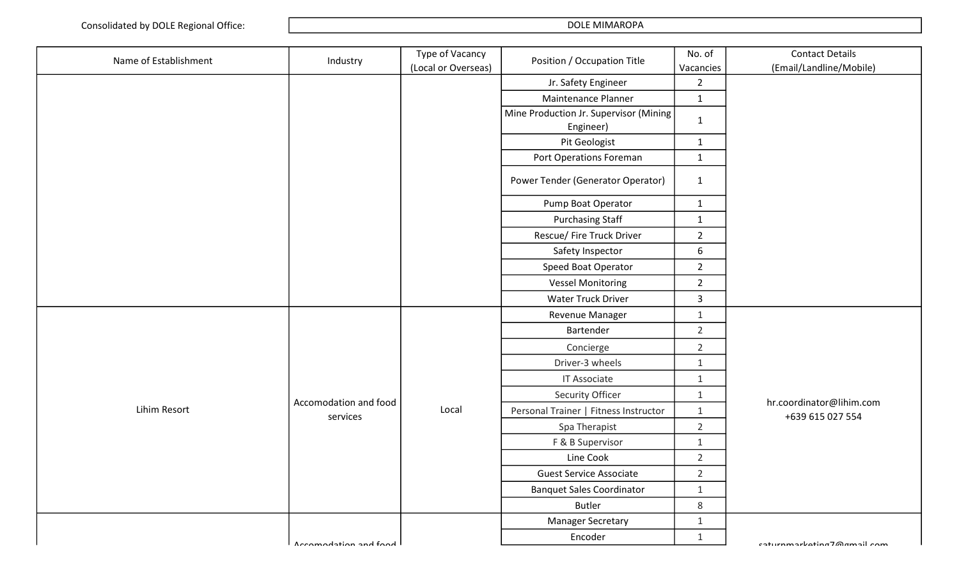| Name of Establishment | Industry                          | Type of Vacancy     | No. of<br>Position / Occupation Title<br>Vacancies | <b>Contact Details</b> |                                              |
|-----------------------|-----------------------------------|---------------------|----------------------------------------------------|------------------------|----------------------------------------------|
|                       |                                   | (Local or Overseas) |                                                    |                        | (Email/Landline/Mobile)                      |
|                       |                                   |                     | Jr. Safety Engineer                                | $\overline{2}$         |                                              |
|                       |                                   |                     | Maintenance Planner                                | $\mathbf{1}$           |                                              |
|                       |                                   |                     | Mine Production Jr. Supervisor (Mining)            | $\mathbf{1}$           |                                              |
|                       |                                   |                     | Engineer)                                          |                        |                                              |
|                       |                                   |                     | Pit Geologist                                      | $\mathbf{1}$           |                                              |
|                       |                                   |                     | Port Operations Foreman                            | $\mathbf{1}$           |                                              |
|                       |                                   |                     | Power Tender (Generator Operator)                  | $\mathbf{1}$           |                                              |
|                       |                                   |                     | Pump Boat Operator                                 | $\mathbf{1}$           |                                              |
|                       |                                   |                     | <b>Purchasing Staff</b>                            | $\mathbf{1}$           |                                              |
|                       |                                   |                     | Rescue/ Fire Truck Driver                          | $\overline{2}$         |                                              |
|                       |                                   |                     | Safety Inspector                                   | 6                      |                                              |
|                       |                                   |                     | Speed Boat Operator                                | $\overline{2}$         |                                              |
|                       |                                   |                     | <b>Vessel Monitoring</b>                           | $\overline{2}$         |                                              |
|                       |                                   |                     | Water Truck Driver                                 | $\overline{3}$         |                                              |
|                       |                                   |                     | Revenue Manager                                    | $\mathbf{1}$           |                                              |
|                       |                                   |                     | Bartender                                          | $\overline{2}$         |                                              |
|                       |                                   |                     | Concierge                                          | $\overline{2}$         |                                              |
|                       |                                   |                     | Driver-3 wheels                                    | $\mathbf{1}$           |                                              |
|                       |                                   |                     | <b>IT Associate</b>                                | $\mathbf{1}$           |                                              |
|                       |                                   |                     | Security Officer                                   | $\mathbf{1}$           |                                              |
| Lihim Resort          | Accomodation and food<br>services | Local               | Personal Trainer   Fitness Instructor              | $\mathbf{1}$           | hr.coordinator@lihim.com<br>+639 615 027 554 |
|                       |                                   |                     | Spa Therapist                                      | $\overline{2}$         |                                              |
|                       |                                   |                     | F & B Supervisor                                   | $\mathbf{1}$           |                                              |
|                       |                                   |                     | Line Cook                                          | $\overline{2}$         |                                              |
|                       |                                   |                     | <b>Guest Service Associate</b>                     | 2                      |                                              |
|                       |                                   |                     | <b>Banquet Sales Coordinator</b>                   | $1\,$                  |                                              |
|                       |                                   |                     | <b>Butler</b>                                      | 8                      |                                              |
|                       |                                   |                     | <b>Manager Secretary</b>                           | $\mathbf{1}$           |                                              |
|                       | Accomodation and food             |                     | Encoder                                            | $\mathbf{1}$           | caturnmarkating7@gmail.com                   |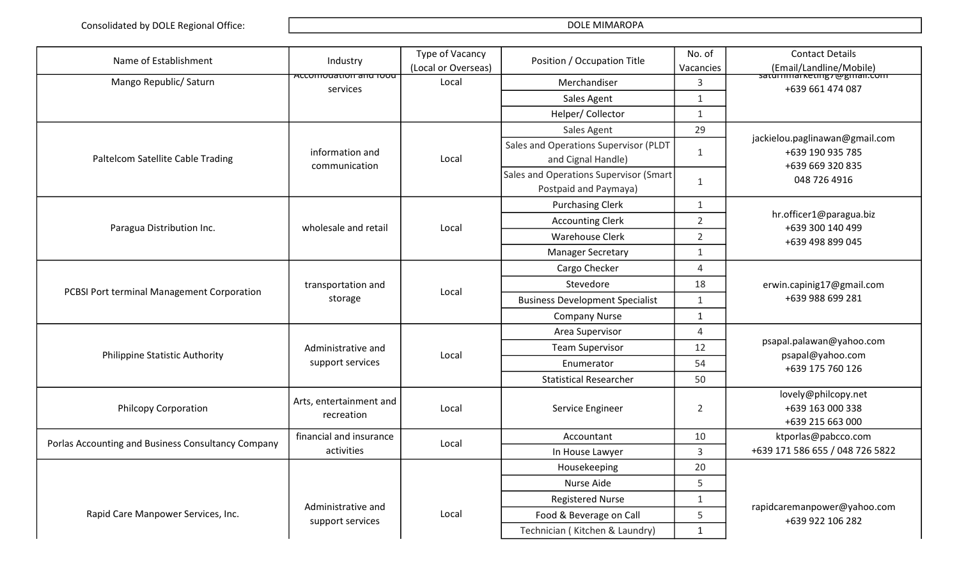| Name of Establishment                              | Industry                              | Type of Vacancy<br>(Local or Overseas) | Position / Occupation Title                                     | No. of<br>Vacancies | <b>Contact Details</b><br>(Email/Landline/Mobile)                      |
|----------------------------------------------------|---------------------------------------|----------------------------------------|-----------------------------------------------------------------|---------------------|------------------------------------------------------------------------|
| Mango Republic/ Saturn                             | Accomodation and Tood<br>services     | Local                                  | Merchandiser                                                    | 3                   | saturmmarketing rwgman.com<br>+639 661 474 087                         |
|                                                    |                                       |                                        | Sales Agent                                                     | $\mathbf{1}$        |                                                                        |
|                                                    |                                       |                                        | Helper/ Collector                                               | $\mathbf{1}$        |                                                                        |
|                                                    |                                       |                                        | Sales Agent                                                     | 29                  |                                                                        |
| Paltelcom Satellite Cable Trading                  | information and<br>communication      | Local                                  | Sales and Operations Supervisor (PLDT<br>and Cignal Handle)     | 1                   | jackielou.paglinawan@gmail.com<br>+639 190 935 785<br>+639 669 320 835 |
|                                                    |                                       |                                        | Sales and Operations Supervisor (Smart<br>Postpaid and Paymaya) | $\mathbf{1}$        | 048 726 4916                                                           |
|                                                    |                                       |                                        | <b>Purchasing Clerk</b>                                         | $\mathbf{1}$        |                                                                        |
| Paragua Distribution Inc.                          | wholesale and retail                  | Local                                  | <b>Accounting Clerk</b>                                         | $\overline{2}$      | hr.officer1@paragua.biz<br>+639 300 140 499                            |
|                                                    |                                       |                                        | <b>Warehouse Clerk</b>                                          | $\overline{2}$      | +639 498 899 045                                                       |
|                                                    |                                       |                                        | <b>Manager Secretary</b>                                        | 1                   |                                                                        |
|                                                    |                                       |                                        | Cargo Checker                                                   | 4                   |                                                                        |
| PCBSI Port terminal Management Corporation         | transportation and                    | Local                                  | Stevedore                                                       | 18                  | erwin.capinig17@gmail.com                                              |
|                                                    | storage                               |                                        | <b>Business Development Specialist</b>                          | $\mathbf{1}$        | +639 988 699 281                                                       |
|                                                    |                                       |                                        | <b>Company Nurse</b>                                            | $\mathbf{1}$        |                                                                        |
|                                                    |                                       |                                        | Area Supervisor                                                 | 4                   | psapal.palawan@yahoo.com                                               |
| <b>Philippine Statistic Authority</b>              | Administrative and                    | Local                                  | <b>Team Supervisor</b>                                          | 12                  | psapal@yahoo.com                                                       |
|                                                    | support services                      |                                        | Enumerator                                                      | 54                  | +639 175 760 126                                                       |
|                                                    |                                       |                                        | <b>Statistical Researcher</b>                                   | 50                  |                                                                        |
| <b>Philcopy Corporation</b>                        | Arts, entertainment and<br>recreation | Local                                  | Service Engineer                                                | $\overline{2}$      | lovely@philcopy.net<br>+639 163 000 338<br>+639 215 663 000            |
| Porlas Accounting and Business Consultancy Company | financial and insurance               | Local                                  | Accountant                                                      | 10                  | ktporlas@pabcco.com                                                    |
|                                                    | activities                            |                                        | In House Lawyer                                                 | $\mathbf{3}$        | +639 171 586 655 / 048 726 5822                                        |
|                                                    |                                       |                                        | Housekeeping                                                    | 20                  |                                                                        |
|                                                    |                                       |                                        | Nurse Aide                                                      | 5                   |                                                                        |
|                                                    | Administrative and                    |                                        | <b>Registered Nurse</b>                                         | $\mathbf{1}$        | rapidcaremanpower@yahoo.com                                            |
| Rapid Care Manpower Services, Inc.                 | support services                      | Local                                  | Food & Beverage on Call                                         | 5                   | +639 922 106 282                                                       |
|                                                    |                                       |                                        | Technician (Kitchen & Laundry)                                  | 1                   |                                                                        |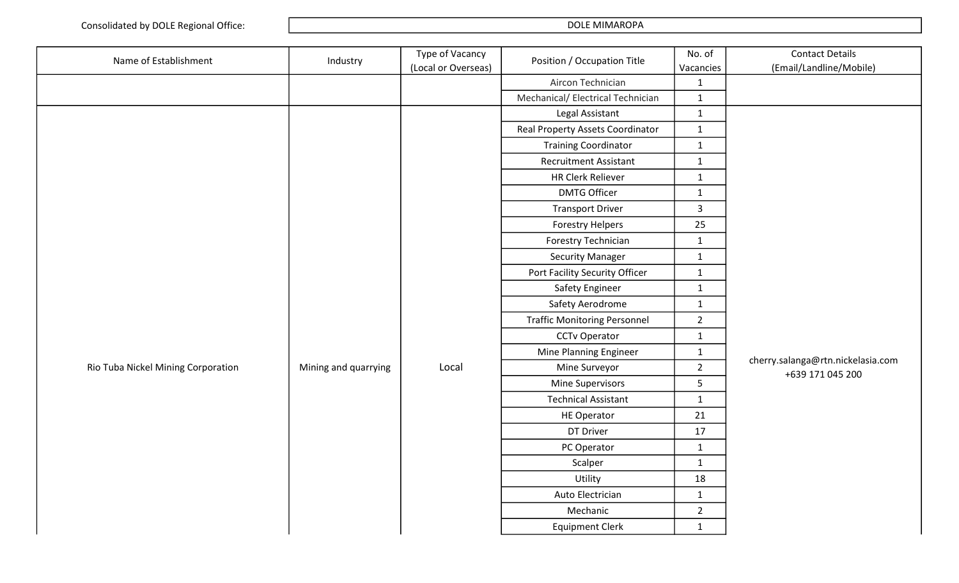| Name of Establishment              | Industry             | Type of Vacancy<br>(Local or Overseas) | Position / Occupation Title         | No. of<br>Vacancies | <b>Contact Details</b><br>(Email/Landline/Mobile)     |
|------------------------------------|----------------------|----------------------------------------|-------------------------------------|---------------------|-------------------------------------------------------|
|                                    |                      |                                        | Aircon Technician                   | $\mathbf{1}$        |                                                       |
|                                    |                      |                                        | Mechanical/ Electrical Technician   | $\mathbf{1}$        |                                                       |
|                                    |                      |                                        | Legal Assistant                     | $\mathbf{1}$        |                                                       |
|                                    |                      |                                        | Real Property Assets Coordinator    | $\mathbf{1}$        |                                                       |
|                                    |                      |                                        | <b>Training Coordinator</b>         | $\mathbf{1}$        |                                                       |
|                                    |                      |                                        | <b>Recruitment Assistant</b>        | $\mathbf{1}$        |                                                       |
|                                    |                      |                                        | <b>HR Clerk Reliever</b>            | $\mathbf{1}$        |                                                       |
|                                    |                      |                                        | <b>DMTG Officer</b>                 | $\mathbf{1}$        |                                                       |
|                                    |                      |                                        | <b>Transport Driver</b>             | $\mathbf{3}$        |                                                       |
|                                    |                      |                                        | Forestry Helpers                    | 25                  |                                                       |
|                                    |                      |                                        | Forestry Technician                 | $\mathbf{1}$        |                                                       |
|                                    |                      |                                        | <b>Security Manager</b>             | $\mathbf{1}$        |                                                       |
|                                    |                      |                                        | Port Facility Security Officer      | $\mathbf{1}$        |                                                       |
|                                    |                      |                                        | Safety Engineer                     | $\mathbf{1}$        |                                                       |
|                                    |                      |                                        | Safety Aerodrome                    | $\mathbf{1}$        |                                                       |
|                                    |                      |                                        | <b>Traffic Monitoring Personnel</b> | $\overline{2}$      |                                                       |
|                                    |                      |                                        | <b>CCTv Operator</b>                | $\mathbf{1}$        |                                                       |
|                                    |                      |                                        | Mine Planning Engineer              | $\mathbf{1}$        |                                                       |
| Rio Tuba Nickel Mining Corporation | Mining and quarrying | Local                                  | Mine Surveyor                       | $\overline{2}$      | cherry.salanga@rtn.nickelasia.com<br>+639 171 045 200 |
|                                    |                      |                                        | Mine Supervisors                    | 5                   |                                                       |
|                                    |                      |                                        | <b>Technical Assistant</b>          | $\mathbf{1}$        |                                                       |
|                                    |                      |                                        | <b>HE Operator</b>                  | $21\,$              |                                                       |
|                                    |                      |                                        | DT Driver                           | 17                  |                                                       |
|                                    |                      |                                        | PC Operator                         | $\mathbf{1}$        |                                                       |
|                                    |                      |                                        | Scalper                             | $\mathbf{1}$        |                                                       |
|                                    |                      |                                        | Utility                             | 18                  |                                                       |
|                                    |                      |                                        | Auto Electrician                    | $\mathbf{1}$        |                                                       |
|                                    |                      |                                        | Mechanic                            | $\overline{2}$      |                                                       |
|                                    |                      |                                        | <b>Equipment Clerk</b>              | $\mathbf{1}$        |                                                       |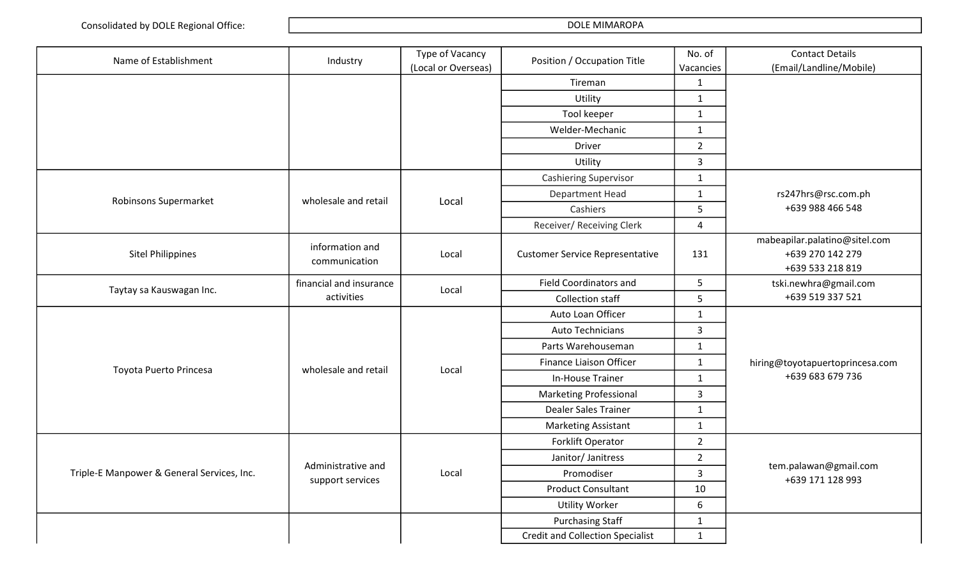| Name of Establishment                      | Industry                               | Type of Vacancy<br>(Local or Overseas) | Position / Occupation Title             | No. of<br>Vacancies | <b>Contact Details</b><br>(Email/Landline/Mobile)                     |
|--------------------------------------------|----------------------------------------|----------------------------------------|-----------------------------------------|---------------------|-----------------------------------------------------------------------|
|                                            |                                        |                                        | Tireman                                 | $\mathbf{1}$        |                                                                       |
|                                            |                                        |                                        | Utility                                 | $\mathbf{1}$        |                                                                       |
|                                            |                                        |                                        | Tool keeper                             | $\mathbf{1}$        |                                                                       |
|                                            |                                        |                                        | Welder-Mechanic                         | $\mathbf{1}$        |                                                                       |
|                                            |                                        |                                        | <b>Driver</b>                           | $\overline{2}$      |                                                                       |
|                                            |                                        |                                        | Utility                                 | $\mathbf{3}$        |                                                                       |
|                                            |                                        |                                        | <b>Cashiering Supervisor</b>            | $\mathbf{1}$        |                                                                       |
|                                            | wholesale and retail                   | Local                                  | <b>Department Head</b>                  | $\mathbf{1}$        | rs247hrs@rsc.com.ph                                                   |
| Robinsons Supermarket                      |                                        |                                        | Cashiers                                | 5                   | +639 988 466 548                                                      |
|                                            |                                        |                                        | Receiver/ Receiving Clerk               | 4                   |                                                                       |
| <b>Sitel Philippines</b>                   | information and<br>communication       | Local                                  | <b>Customer Service Representative</b>  | 131                 | mabeapilar.palatino@sitel.com<br>+639 270 142 279<br>+639 533 218 819 |
|                                            | financial and insurance                |                                        | <b>Field Coordinators and</b>           | 5                   | tski.newhra@gmail.com                                                 |
| Taytay sa Kauswagan Inc.                   | activities                             | Local                                  | <b>Collection staff</b>                 | 5                   | +639 519 337 521                                                      |
|                                            |                                        |                                        | Auto Loan Officer                       | $\mathbf{1}$        |                                                                       |
|                                            |                                        |                                        | Auto Technicians                        | 3                   |                                                                       |
|                                            |                                        |                                        | Parts Warehouseman                      | $\mathbf{1}$        |                                                                       |
| Toyota Puerto Princesa                     | wholesale and retail                   | Local                                  | Finance Liaison Officer                 | $\mathbf{1}$        | hiring@toyotapuertoprincesa.com                                       |
|                                            |                                        |                                        | In-House Trainer                        | $\mathbf{1}$        | +639 683 679 736                                                      |
|                                            |                                        |                                        | <b>Marketing Professional</b>           | 3                   |                                                                       |
|                                            |                                        |                                        | <b>Dealer Sales Trainer</b>             | $\mathbf{1}$        |                                                                       |
|                                            |                                        |                                        | <b>Marketing Assistant</b>              | $\mathbf{1}$        |                                                                       |
|                                            |                                        |                                        | Forklift Operator                       | $\overline{2}$      |                                                                       |
| Triple-E Manpower & General Services, Inc. |                                        |                                        | Janitor/ Janitress                      | $\overline{2}$      |                                                                       |
|                                            | Administrative and<br>support services | Local                                  | Promodiser                              | 3                   | tem.palawan@gmail.com<br>+639 171 128 993                             |
|                                            |                                        |                                        | <b>Product Consultant</b>               | 10                  |                                                                       |
|                                            |                                        |                                        | <b>Utility Worker</b>                   | 6                   |                                                                       |
|                                            |                                        |                                        | <b>Purchasing Staff</b>                 | $\mathbf{1}$        |                                                                       |
|                                            |                                        |                                        | <b>Credit and Collection Specialist</b> | $\mathbf{1}$        |                                                                       |